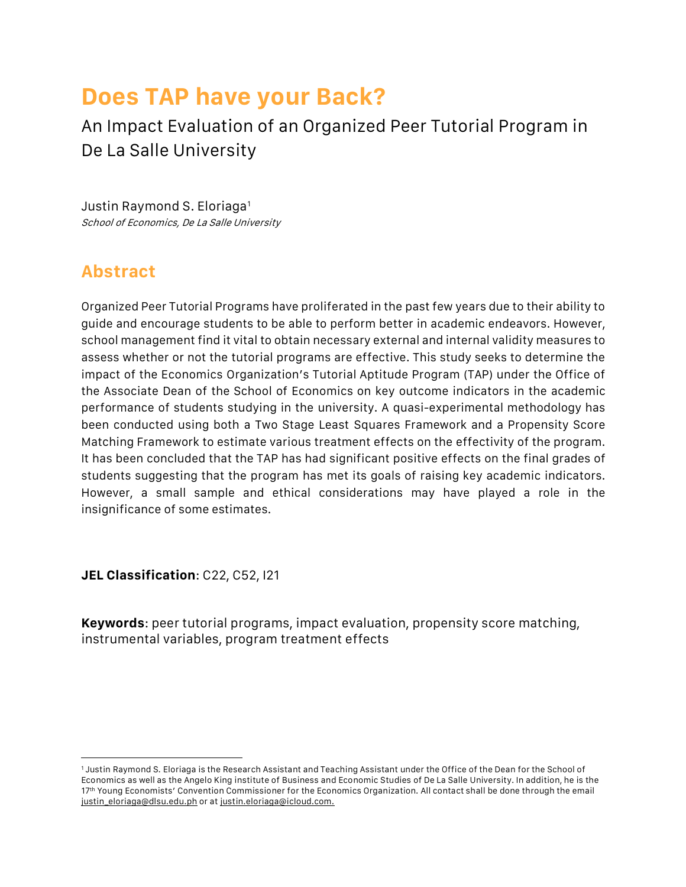# **Does TAP have your Back?**

# An Impact Evaluation of an Organized Peer Tutorial Program in De La Salle University

Justin Raymond S. Eloriaga<sup>1</sup> School of Economics, De La Salle University

# **Abstract**

 $\overline{a}$ 

Organized Peer Tutorial Programs have proliferated in the past few years due to their ability to guide and encourage students to be able to perform better in academic endeavors. However, school management find it vital to obtain necessary external and internal validity measures to assess whether or not the tutorial programs are effective. This study seeks to determine the impact of the Economics Organization's Tutorial Aptitude Program (TAP) under the Office of the Associate Dean of the School of Economics on key outcome indicators in the academic performance of students studying in the university. A quasi-experimental methodology has been conducted using both a Two Stage Least Squares Framework and a Propensity Score Matching Framework to estimate various treatment effects on the effectivity of the program. It has been concluded that the TAP has had significant positive effects on the final grades of students suggesting that the program has met its goals of raising key academic indicators. However, a small sample and ethical considerations may have played a role in the insignificance of some estimates.

**JEL Classification**: C22, C52, I21

**Keywords**: peer tutorial programs, impact evaluation, propensity score matching, instrumental variables, program treatment effects

<sup>1</sup> Justin Raymond S. Eloriaga is the Research Assistant and Teaching Assistant under the Office of the Dean for the School of Economics as well as the Angelo King institute of Business and Economic Studies of De La Salle University. In addition, he is the 17<sup>th</sup> Young Economists' Convention Commissioner for the Economics Organization. All contact shall be done through the email justin\_eloriaga@dlsu.edu.ph or at justin.eloriaga@icloud.com.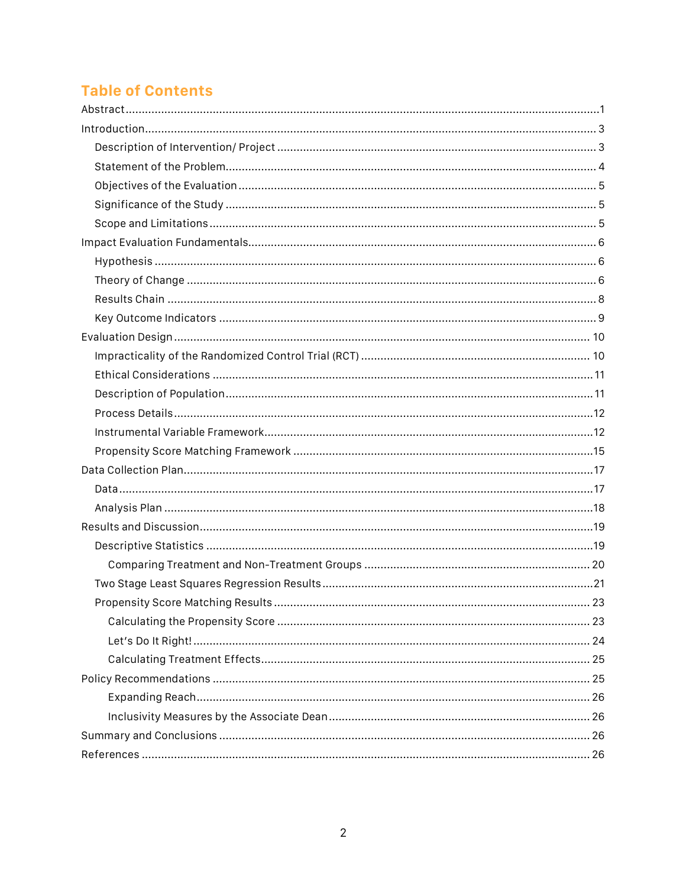# **Table of Contents**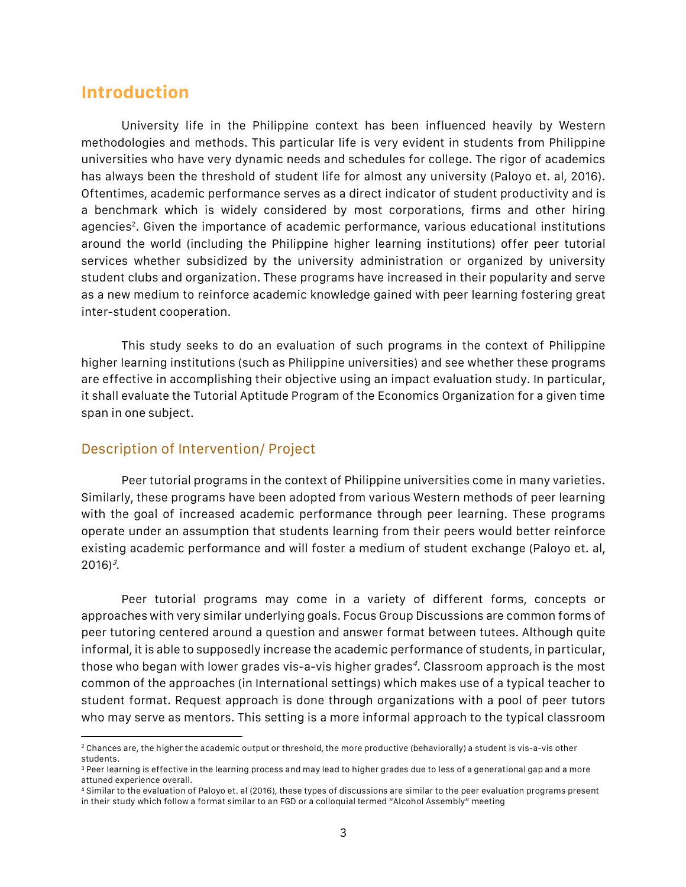# **Introduction**

University life in the Philippine context has been influenced heavily by Western methodologies and methods. This particular life is very evident in students from Philippine universities who have very dynamic needs and schedules for college. The rigor of academics has always been the threshold of student life for almost any university (Paloyo et. al, 2016). Oftentimes, academic performance serves as a direct indicator of student productivity and is a benchmark which is widely considered by most corporations, firms and other hiring agencies<sup>2</sup>. Given the importance of academic performance, various educational institutions around the world (including the Philippine higher learning institutions) offer peer tutorial services whether subsidized by the university administration or organized by university student clubs and organization. These programs have increased in their popularity and serve as a new medium to reinforce academic knowledge gained with peer learning fostering great inter-student cooperation.

This study seeks to do an evaluation of such programs in the context of Philippine higher learning institutions (such as Philippine universities) and see whether these programs are effective in accomplishing their objective using an impact evaluation study. In particular, it shall evaluate the Tutorial Aptitude Program of the Economics Organization for a given time span in one subject.

#### Description of Intervention/ Project

 $\overline{a}$ 

Peer tutorial programs in the context of Philippine universities come in many varieties. Similarly, these programs have been adopted from various Western methods of peer learning with the goal of increased academic performance through peer learning. These programs operate under an assumption that students learning from their peers would better reinforce existing academic performance and will foster a medium of student exchange (Paloyo et. al,  $2016$ <sup>3</sup>.

Peer tutorial programs may come in a variety of different forms, concepts or approaches with very similar underlying goals. Focus Group Discussions are common forms of peer tutoring centered around a question and answer format between tutees. Although quite informal, it is able to supposedly increase the academic performance of students, in particular, those who began with lower grades vis-a-vis higher grades<sup>4</sup>. Classroom approach is the most common of the approaches (in International settings) which makes use of a typical teacher to student format. Request approach is done through organizations with a pool of peer tutors who may serve as mentors. This setting is a more informal approach to the typical classroom

<sup>&</sup>lt;sup>2</sup> Chances are, the higher the academic output or threshold, the more productive (behaviorally) a student is vis-a-vis other students.

<sup>&</sup>lt;sup>3</sup> Peer learning is effective in the learning process and may lead to higher grades due to less of a generational gap and a more attuned experience overall.

<sup>4</sup> Similar to the evaluation of Paloyo et. al (2016), these types of discussions are similar to the peer evaluation programs present in their study which follow a format similar to an FGD or a colloquial termed "Alcohol Assembly" meeting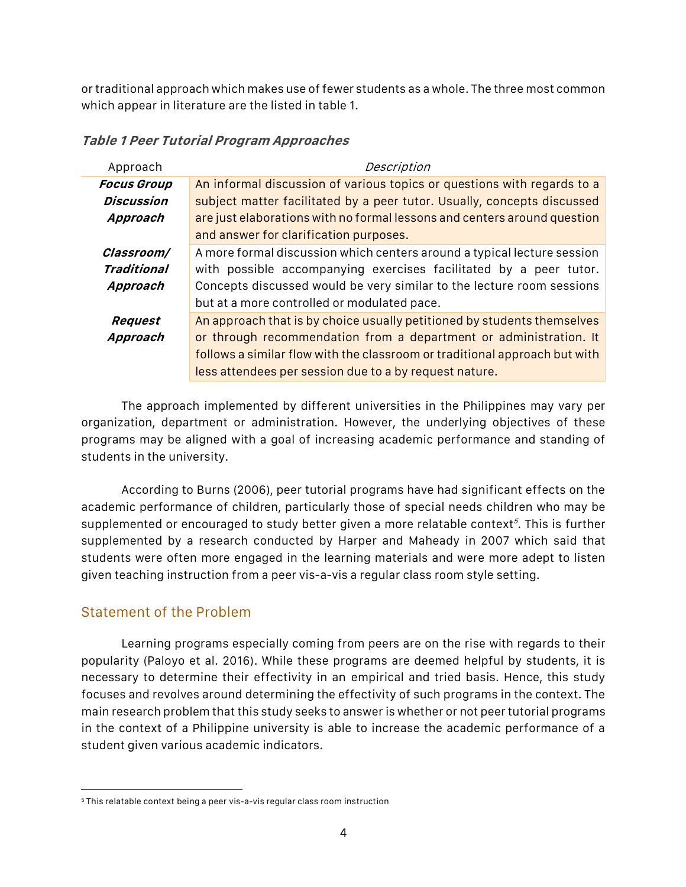ortraditional approach which makes use offewer students as a whole. The three most common which appear in literature are the listed in table 1.

#### **Table 1 Peer Tutorial Program Approaches**

| Approach           | Description                                                                |
|--------------------|----------------------------------------------------------------------------|
| <b>Focus Group</b> | An informal discussion of various topics or questions with regards to a    |
| <b>Discussion</b>  | subject matter facilitated by a peer tutor. Usually, concepts discussed    |
| Approach           | are just elaborations with no formal lessons and centers around question   |
|                    | and answer for clarification purposes.                                     |
| Classroom/         | A more formal discussion which centers around a typical lecture session    |
| <b>Traditional</b> | with possible accompanying exercises facilitated by a peer tutor.          |
| Approach           | Concepts discussed would be very similar to the lecture room sessions      |
|                    | but at a more controlled or modulated pace.                                |
| <b>Request</b>     | An approach that is by choice usually petitioned by students themselves    |
| Approach           | or through recommendation from a department or administration. It          |
|                    | follows a similar flow with the classroom or traditional approach but with |
|                    | less attendees per session due to a by request nature.                     |

The approach implemented by different universities in the Philippines may vary per organization, department or administration. However, the underlying objectives of these programs may be aligned with a goal of increasing academic performance and standing of students in the university.

According to Burns (2006), peer tutorial programs have had significant effects on the academic performance of children, particularly those of special needs children who may be supplemented or encouraged to study better given a more relatable context<sup>5</sup>. This is further supplemented by a research conducted by Harper and Maheady in 2007 which said that students were often more engaged in the learning materials and were more adept to listen given teaching instruction from a peer vis-a-vis a regular class room style setting.

### Statement of the Problem

 $\overline{a}$ 

Learning programs especially coming from peers are on the rise with regards to their popularity (Paloyo et al. 2016). While these programs are deemed helpful by students, it is necessary to determine their effectivity in an empirical and tried basis. Hence, this study focuses and revolves around determining the effectivity of such programs in the context. The main research problem that this study seeks to answer is whether or not peer tutorial programs in the context of a Philippine university is able to increase the academic performance of a student given various academic indicators.

<sup>5</sup> This relatable context being a peer vis-a-vis regular class room instruction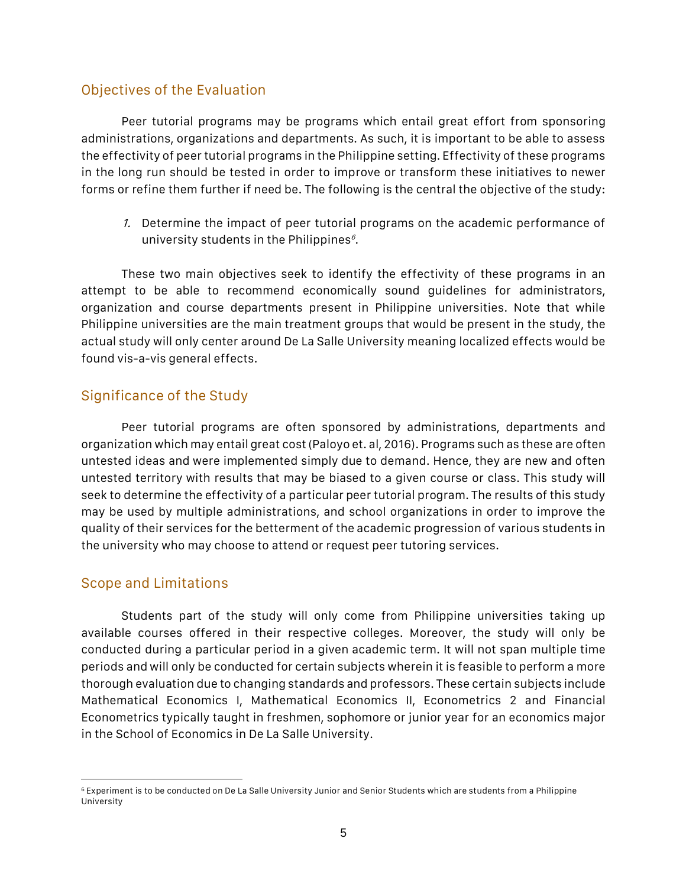### Objectives of the Evaluation

Peer tutorial programs may be programs which entail great effort from sponsoring administrations, organizations and departments. As such, it is important to be able to assess the effectivity of peer tutorial programs in the Philippine setting. Effectivity of these programs in the long run should be tested in order to improve or transform these initiatives to newer forms or refine them further if need be. The following is the central the objective of the study:

1. Determine the impact of peer tutorial programs on the academic performance of university students in the Philippines $\mathscr{E}$ .

These two main objectives seek to identify the effectivity of these programs in an attempt to be able to recommend economically sound guidelines for administrators, organization and course departments present in Philippine universities. Note that while Philippine universities are the main treatment groups that would be present in the study, the actual study will only center around De La Salle University meaning localized effects would be found vis-a-vis general effects.

# Significance of the Study

Peer tutorial programs are often sponsored by administrations, departments and organization which may entail great cost(Paloyo et. al, 2016). Programs such as these are often untested ideas and were implemented simply due to demand. Hence, they are new and often untested territory with results that may be biased to a given course or class. This study will seek to determine the effectivity of a particular peer tutorial program. The results of this study may be used by multiple administrations, and school organizations in order to improve the quality of their services for the betterment of the academic progression of various students in the university who may choose to attend or request peer tutoring services.

### Scope and Limitations

Students part of the study will only come from Philippine universities taking up available courses offered in their respective colleges. Moreover, the study will only be conducted during a particular period in a given academic term. It will not span multiple time periods and will only be conducted for certain subjects wherein it is feasible to perform a more thorough evaluation due to changing standards and professors. These certain subjects include Mathematical Economics I, Mathematical Economics II, Econometrics 2 and Financial Econometrics typically taught in freshmen, sophomore or junior year for an economics major in the School of Economics in De La Salle University.

 $\overline{a}$ <sup>6</sup> Experiment is to be conducted on De La Salle University Junior and Senior Students which are students from a Philippine University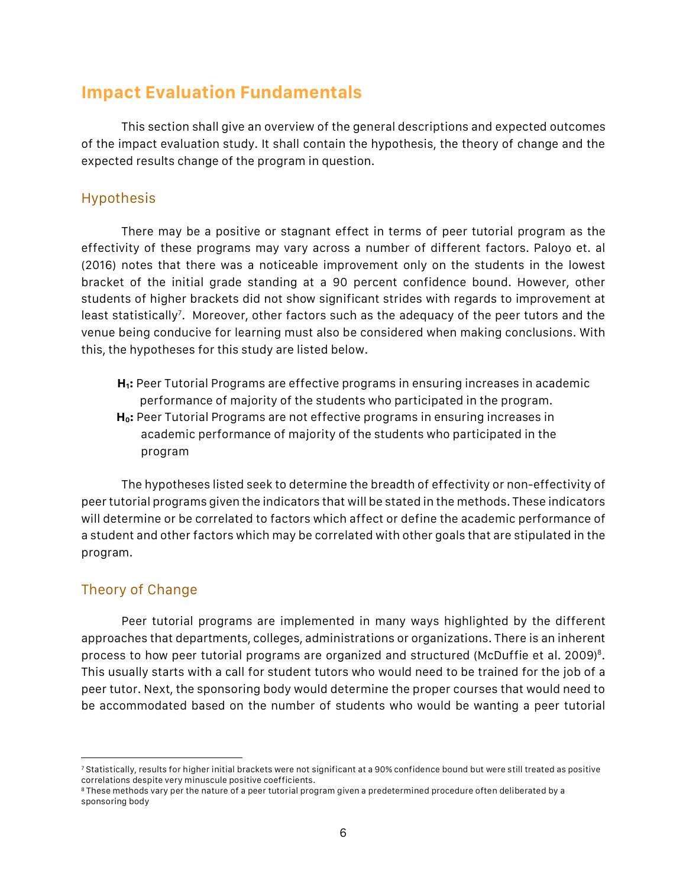# **Impact Evaluation Fundamentals**

This section shall give an overview of the general descriptions and expected outcomes of the impact evaluation study. It shall contain the hypothesis, the theory of change and the expected results change of the program in question.

# Hypothesis

There may be a positive or stagnant effect in terms of peer tutorial program as the effectivity of these programs may vary across a number of different factors. Paloyo et. al (2016) notes that there was a noticeable improvement only on the students in the lowest bracket of the initial grade standing at a 90 percent confidence bound. However, other students of higher brackets did not show significant strides with regards to improvement at least statistically<sup>7</sup>. Moreover, other factors such as the adequacy of the peer tutors and the venue being conducive for learning must also be considered when making conclusions. With this, the hypotheses for this study are listed below.

 **H1:** Peer Tutorial Programs are effective programs in ensuring increases in academic performance of majority of the students who participated in the program. H<sub>0</sub>: Peer Tutorial Programs are not effective programs in ensuring increases in academic performance of majority of the students who participated in the program

The hypotheses listed seek to determine the breadth of effectivity or non-effectivity of peertutorial programs given the indicators that will be stated in the methods. These indicators will determine or be correlated to factors which affect or define the academic performance of a student and other factors which may be correlated with other goals that are stipulated in the program.

# Theory of Change

 $\overline{a}$ 

Peer tutorial programs are implemented in many ways highlighted by the different approaches that departments, colleges, administrations or organizations. There is an inherent process to how peer tutorial programs are organized and structured (McDuffie et al. 2009)<sup>8</sup>. This usually starts with a call for student tutors who would need to be trained for the job of a peer tutor. Next, the sponsoring body would determine the proper courses that would need to be accommodated based on the number of students who would be wanting a peer tutorial

<sup>7</sup> Statistically, results for higher initial brackets were not significant at a 90% confidence bound but were still treated as positive correlations despite very minuscule positive coefficients.

<sup>&</sup>lt;sup>8</sup> These methods vary per the nature of a peer tutorial program given a predetermined procedure often deliberated by a sponsoring body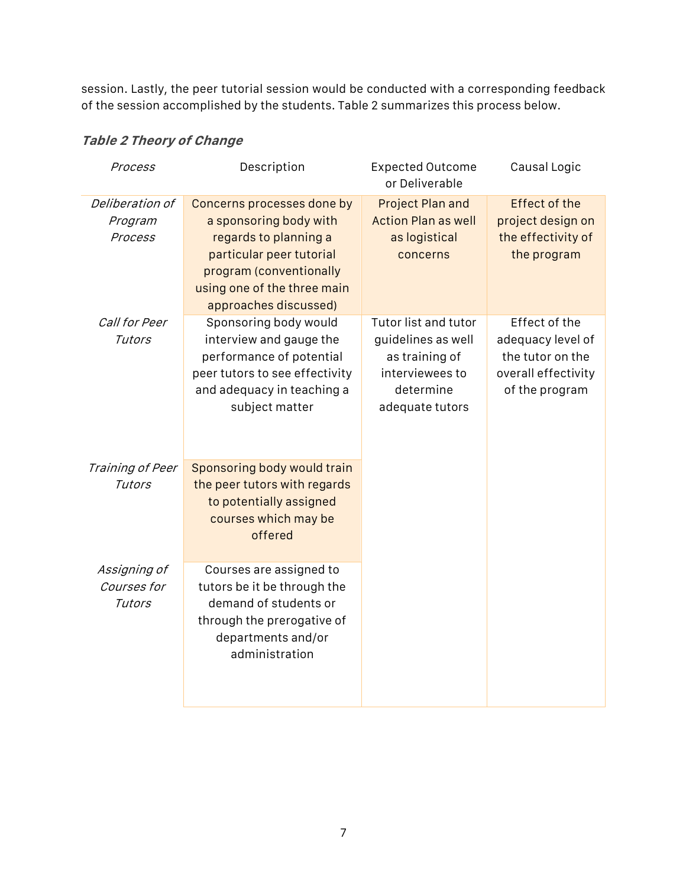session. Lastly, the peer tutorial session would be conducted with a corresponding feedback of the session accomplished by the students. Table 2 summarizes this process below.

| Process                               | Description                                                                                                                                                                                  | <b>Expected Outcome</b><br>or Deliverable                                                                       | Causal Logic                                                                                    |
|---------------------------------------|----------------------------------------------------------------------------------------------------------------------------------------------------------------------------------------------|-----------------------------------------------------------------------------------------------------------------|-------------------------------------------------------------------------------------------------|
| Deliberation of<br>Program<br>Process | Concerns processes done by<br>a sponsoring body with<br>regards to planning a<br>particular peer tutorial<br>program (conventionally<br>using one of the three main<br>approaches discussed) | <b>Project Plan and</b><br><b>Action Plan as well</b><br>as logistical<br>concerns                              | <b>Effect of the</b><br>project design on<br>the effectivity of<br>the program                  |
| Call for Peer<br>Tutors               | Sponsoring body would<br>interview and gauge the<br>performance of potential<br>peer tutors to see effectivity<br>and adequacy in teaching a<br>subject matter                               | Tutor list and tutor<br>guidelines as well<br>as training of<br>interviewees to<br>determine<br>adequate tutors | Effect of the<br>adequacy level of<br>the tutor on the<br>overall effectivity<br>of the program |
| Training of Peer<br>Tutors            | Sponsoring body would train<br>the peer tutors with regards<br>to potentially assigned<br>courses which may be<br>offered                                                                    |                                                                                                                 |                                                                                                 |
| Assigning of<br>Courses for<br>Tutors | Courses are assigned to<br>tutors be it be through the<br>demand of students or<br>through the prerogative of<br>departments and/or<br>administration                                        |                                                                                                                 |                                                                                                 |

# **Table 2 Theory of Change**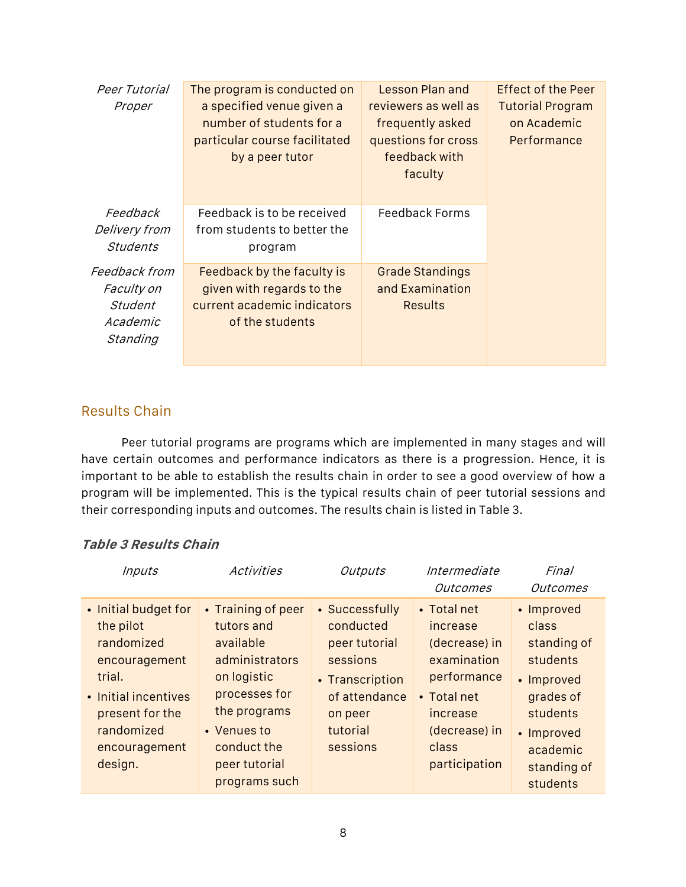| <i>Peer Tutorial</i><br>Proper                                 | The program is conducted on<br>a specified venue given a<br>number of students for a<br>particular course facilitated<br>by a peer tutor | Lesson Plan and<br>reviewers as well as<br>frequently asked<br>questions for cross<br>feedback with<br>faculty | <b>Effect of the Peer</b><br><b>Tutorial Program</b><br>on Academic<br>Performance |
|----------------------------------------------------------------|------------------------------------------------------------------------------------------------------------------------------------------|----------------------------------------------------------------------------------------------------------------|------------------------------------------------------------------------------------|
| Feedback<br>Delivery from<br><b>Students</b>                   | Feedback is to be received<br>from students to better the<br>program                                                                     | Feedback Forms                                                                                                 |                                                                                    |
| Feedback from<br>Faculty on<br>Student<br>Academic<br>Standing | Feedback by the faculty is<br>given with regards to the<br>current academic indicators<br>of the students                                | <b>Grade Standings</b><br>and Examination<br><b>Results</b>                                                    |                                                                                    |

# Results Chain

Peer tutorial programs are programs which are implemented in many stages and will have certain outcomes and performance indicators as there is a progression. Hence, it is important to be able to establish the results chain in order to see a good overview of how a program will be implemented. This is the typical results chain of peer tutorial sessions and their corresponding inputs and outcomes. The results chain is listed in Table 3.

#### **Table 3 Results Chain**

| <i>Inputs</i>                                                                                                                                                   | <b>Activities</b>                                                                                                                                                               | <b>Outputs</b>                                                                                                                  | Intermediate<br>Outcomes                                                                                                                     | Final<br>Outcomes                                                                                                                          |
|-----------------------------------------------------------------------------------------------------------------------------------------------------------------|---------------------------------------------------------------------------------------------------------------------------------------------------------------------------------|---------------------------------------------------------------------------------------------------------------------------------|----------------------------------------------------------------------------------------------------------------------------------------------|--------------------------------------------------------------------------------------------------------------------------------------------|
| • Initial budget for<br>the pilot<br>randomized<br>encouragement<br>trial.<br>• Initial incentives<br>present for the<br>randomized<br>encouragement<br>design. | • Training of peer<br>tutors and<br>available<br>administrators<br>on logistic<br>processes for<br>the programs<br>• Venues to<br>conduct the<br>peer tutorial<br>programs such | • Successfully<br>conducted<br>peer tutorial<br>sessions<br>• Transcription<br>of attendance<br>on peer<br>tutorial<br>sessions | • Total net<br>increase<br>(decrease) in<br>examination<br>performance<br>• Total net<br>increase<br>(decrease) in<br>class<br>participation | • Improved<br>class<br>standing of<br>students<br>• Improved<br>grades of<br>students<br>• Improved<br>academic<br>standing of<br>students |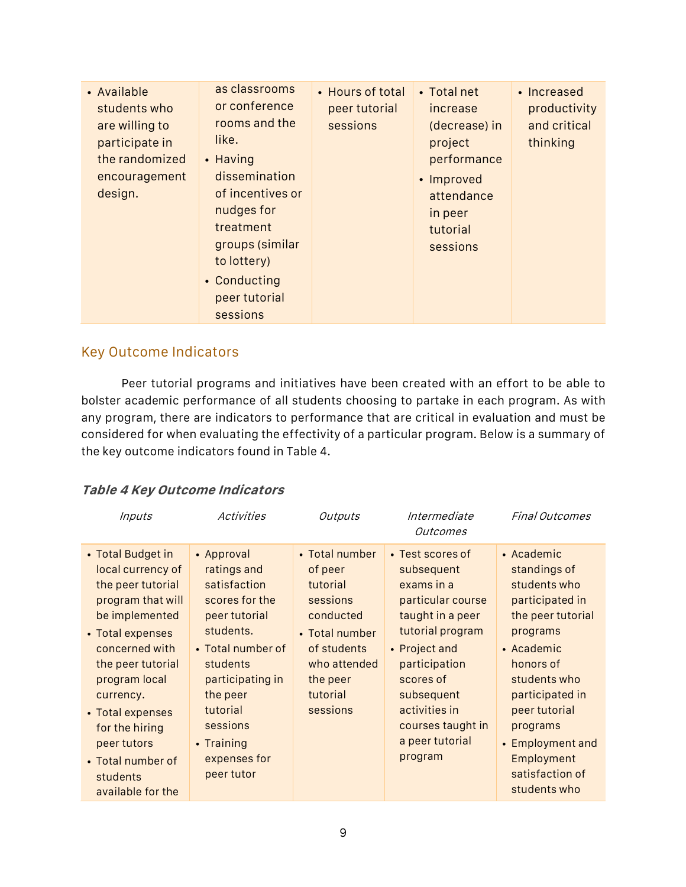| • Available<br>students who<br>are willing to<br>participate in<br>the randomized<br>encouragement<br>design. | as classrooms<br>or conference<br>rooms and the<br>like.<br>• Having<br>dissemination<br>of incentives or<br>nudges for<br>treatment<br>groups (similar<br>to lottery)<br>• Conducting<br>peer tutorial<br>sessions | • Hours of total<br>peer tutorial<br>sessions | • Total net<br>increase<br>(decrease) in<br>project<br>performance<br>• Improved<br>attendance<br>in peer<br>tutorial<br>sessions | • Increased<br>productivity<br>and critical<br>thinking |
|---------------------------------------------------------------------------------------------------------------|---------------------------------------------------------------------------------------------------------------------------------------------------------------------------------------------------------------------|-----------------------------------------------|-----------------------------------------------------------------------------------------------------------------------------------|---------------------------------------------------------|
|---------------------------------------------------------------------------------------------------------------|---------------------------------------------------------------------------------------------------------------------------------------------------------------------------------------------------------------------|-----------------------------------------------|-----------------------------------------------------------------------------------------------------------------------------------|---------------------------------------------------------|

# Key Outcome Indicators

Peer tutorial programs and initiatives have been created with an effort to be able to bolster academic performance of all students choosing to partake in each program. As with any program, there are indicators to performance that are critical in evaluation and must be considered for when evaluating the effectivity of a particular program. Below is a summary of the key outcome indicators found in Table 4.

|  |  |  | Table 4 Key Outcome Indicators |
|--|--|--|--------------------------------|
|--|--|--|--------------------------------|

| <i>Inputs</i>                                                                                                                                                                                                                                                                                          | Activities                                                                                                                                                                                                                     | Outputs                                                                                                                                             | Intermediate<br>Outcomes                                                                                                                                                                                                                   | Final Outcomes                                                                                                                                                                                                                                                         |
|--------------------------------------------------------------------------------------------------------------------------------------------------------------------------------------------------------------------------------------------------------------------------------------------------------|--------------------------------------------------------------------------------------------------------------------------------------------------------------------------------------------------------------------------------|-----------------------------------------------------------------------------------------------------------------------------------------------------|--------------------------------------------------------------------------------------------------------------------------------------------------------------------------------------------------------------------------------------------|------------------------------------------------------------------------------------------------------------------------------------------------------------------------------------------------------------------------------------------------------------------------|
| • Total Budget in<br>local currency of<br>the peer tutorial<br>program that will<br>be implemented<br>• Total expenses<br>concerned with<br>the peer tutorial<br>program local<br>currency.<br>• Total expenses<br>for the hiring<br>peer tutors<br>• Total number of<br>students<br>available for the | • Approval<br>ratings and<br>satisfaction<br>scores for the<br>peer tutorial<br>students.<br>• Total number of<br>students<br>participating in<br>the peer<br>tutorial<br>sessions<br>• Training<br>expenses for<br>peer tutor | • Total number<br>of peer<br>tutorial<br>sessions<br>conducted<br>• Total number<br>of students<br>who attended<br>the peer<br>tutorial<br>sessions | • Test scores of<br>subsequent<br>exams in a<br>particular course<br>taught in a peer<br>tutorial program<br>• Project and<br>participation<br>scores of<br>subsequent<br>activities in<br>courses taught in<br>a peer tutorial<br>program | $\bullet$ Academic<br>standings of<br>students who<br>participated in<br>the peer tutorial<br>programs<br>• Academic<br>honors of<br>students who<br>participated in<br>peer tutorial<br>programs<br>• Employment and<br>Employment<br>satisfaction of<br>students who |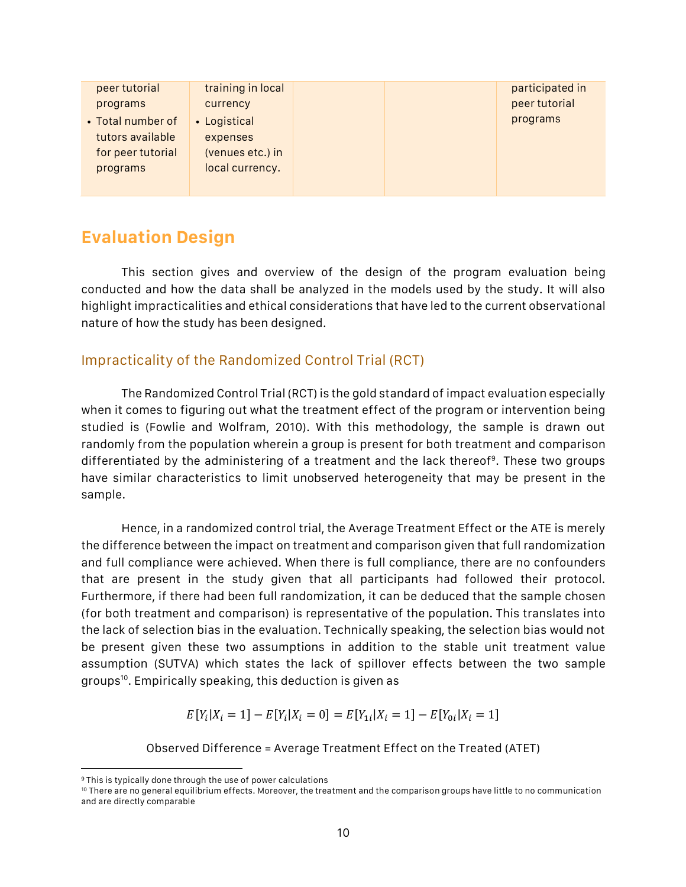| peer tutorial<br>programs<br>• Total number of<br>tutors available<br>for peer tutorial<br>programs | training in local<br>currency<br>• Logistical<br>expenses<br>(venues etc.) in<br>local currency. |  | participated in<br>peer tutorial<br>programs |
|-----------------------------------------------------------------------------------------------------|--------------------------------------------------------------------------------------------------|--|----------------------------------------------|
|                                                                                                     |                                                                                                  |  |                                              |

# **Evaluation Design**

This section gives and overview of the design of the program evaluation being conducted and how the data shall be analyzed in the models used by the study. It will also highlight impracticalities and ethical considerations that have led to the current observational nature of how the study has been designed.

# Impracticality of the Randomized Control Trial (RCT)

The Randomized Control Trial (RCT) is the gold standard ofimpact evaluation especially when it comes to figuring out what the treatment effect of the program or intervention being studied is (Fowlie and Wolfram, 2010). With this methodology, the sample is drawn out randomly from the population wherein a group is present for both treatment and comparison differentiated by the administering of a treatment and the lack thereof<sup>9</sup>. These two groups have similar characteristics to limit unobserved heterogeneity that may be present in the sample.

Hence, in a randomized control trial, the Average Treatment Effect or the ATE is merely the difference between the impact on treatment and comparison given that full randomization and full compliance were achieved. When there is full compliance, there are no confounders that are present in the study given that all participants had followed their protocol. Furthermore, if there had been full randomization, it can be deduced that the sample chosen (for both treatment and comparison) is representative of the population. This translates into the lack of selection bias in the evaluation. Technically speaking, the selection bias would not be present given these two assumptions in addition to the stable unit treatment value assumption (SUTVA) which states the lack of spillover effects between the two sample groups<sup>10</sup>. Empirically speaking, this deduction is given as

$$
E[Y_i|X_i = 1] - E[Y_i|X_i = 0] = E[Y_{1i}|X_i = 1] - E[Y_{0i}|X_i = 1]
$$

Observed Difference = Average Treatment Effect on the Treated (ATET)

 $\overline{a}$ 

<sup>9</sup> This is typically done through the use of power calculations

<sup>&</sup>lt;sup>10</sup> There are no general equilibrium effects. Moreover, the treatment and the comparison groups have little to no communication and are directly comparable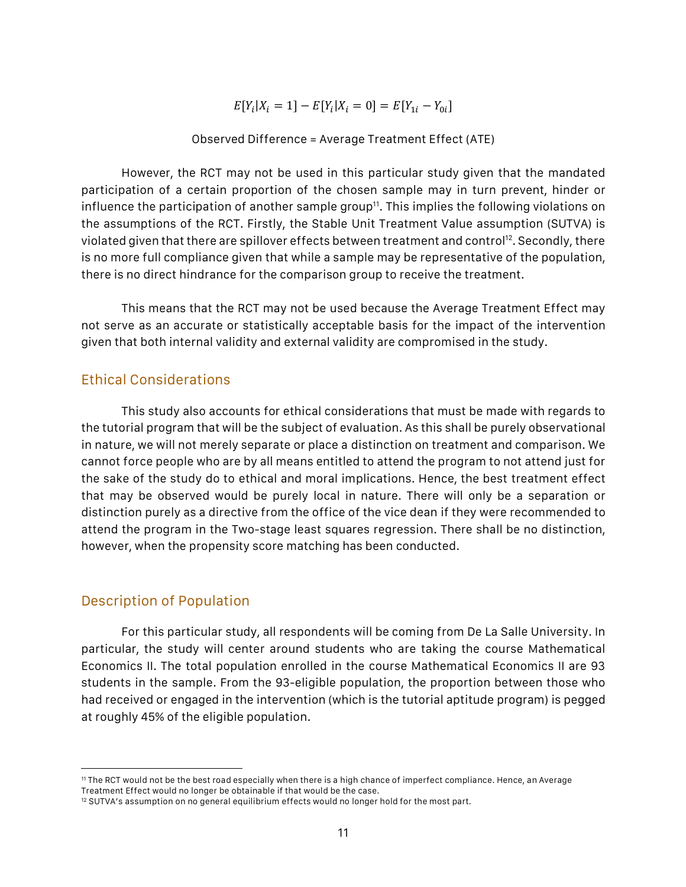$$
E[Y_i|X_i = 1] - E[Y_i|X_i = 0] = E[Y_{1i} - Y_{0i}]
$$

#### Observed Difference = Average Treatment Effect (ATE)

However, the RCT may not be used in this particular study given that the mandated participation of a certain proportion of the chosen sample may in turn prevent, hinder or influence the participation of another sample group<sup>11</sup>. This implies the following violations on the assumptions of the RCT. Firstly, the Stable Unit Treatment Value assumption (SUTVA) is violated given that there are spillover effects between treatment and control<sup>12</sup>. Secondly, there is no more full compliance given that while a sample may be representative of the population, there is no direct hindrance for the comparison group to receive the treatment.

This means that the RCT may not be used because the Average Treatment Effect may not serve as an accurate or statistically acceptable basis for the impact of the intervention given that both internal validity and external validity are compromised in the study.

#### Ethical Considerations

This study also accounts for ethical considerations that must be made with regards to the tutorial program that will be the subject of evaluation. As this shall be purely observational in nature, we will not merely separate or place a distinction on treatment and comparison. We cannot force people who are by all means entitled to attend the program to not attend just for the sake of the study do to ethical and moral implications. Hence, the best treatment effect that may be observed would be purely local in nature. There will only be a separation or distinction purely as a directive from the office of the vice dean if they were recommended to attend the program in the Two-stage least squares regression. There shall be no distinction, however, when the propensity score matching has been conducted.

#### Description of Population

 $\overline{a}$ 

For this particular study, all respondents will be coming from De La Salle University. In particular, the study will center around students who are taking the course Mathematical Economics II. The total population enrolled in the course Mathematical Economics II are 93 students in the sample. From the 93-eligible population, the proportion between those who had received or engaged in the intervention (which is the tutorial aptitude program) is pegged at roughly 45% of the eligible population.

<sup>11</sup> The RCT would not be the best road especially when there is a high chance of imperfect compliance. Hence, an Average Treatment Effect would no longer be obtainable if that would be the case.

<sup>12</sup> SUTVA's assumption on no general equilibrium effects would no longer hold for the most part.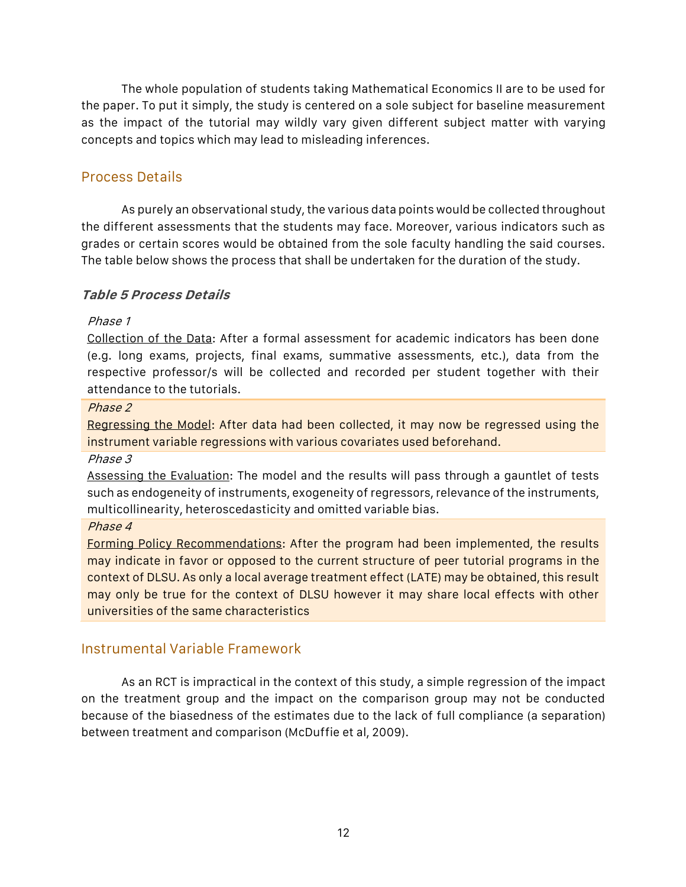The whole population of students taking Mathematical Economics II are to be used for the paper. To put it simply, the study is centered on a sole subject for baseline measurement as the impact of the tutorial may wildly vary given different subject matter with varying concepts and topics which may lead to misleading inferences.

# Process Details

As purely an observational study, the various data points would be collected throughout the different assessments that the students may face. Moreover, various indicators such as grades or certain scores would be obtained from the sole faculty handling the said courses. The table below shows the process that shall be undertaken for the duration of the study.

### **Table 5 Process Details**

Phase 1

Collection of the Data: After a formal assessment for academic indicators has been done (e.g. long exams, projects, final exams, summative assessments, etc.), data from the respective professor/s will be collected and recorded per student together with their attendance to the tutorials.

#### Phase 2

Regressing the Model: After data had been collected, it may now be regressed using the instrument variable regressions with various covariates used beforehand.

Phase 3

Assessing the Evaluation: The model and the results will pass through a gauntlet of tests such as endogeneity of instruments, exogeneity of regressors, relevance of the instruments, multicollinearity, heteroscedasticity and omitted variable bias.

Phase 4

Forming Policy Recommendations: After the program had been implemented, the results may indicate in favor or opposed to the current structure of peer tutorial programs in the context of DLSU. As only a local average treatment effect (LATE) may be obtained, this result may only be true for the context of DLSU however it may share local effects with other universities of the same characteristics

### Instrumental Variable Framework

As an RCT is impractical in the context of this study, a simple regression of the impact on the treatment group and the impact on the comparison group may not be conducted because of the biasedness of the estimates due to the lack of full compliance (a separation) between treatment and comparison (McDuffie et al, 2009).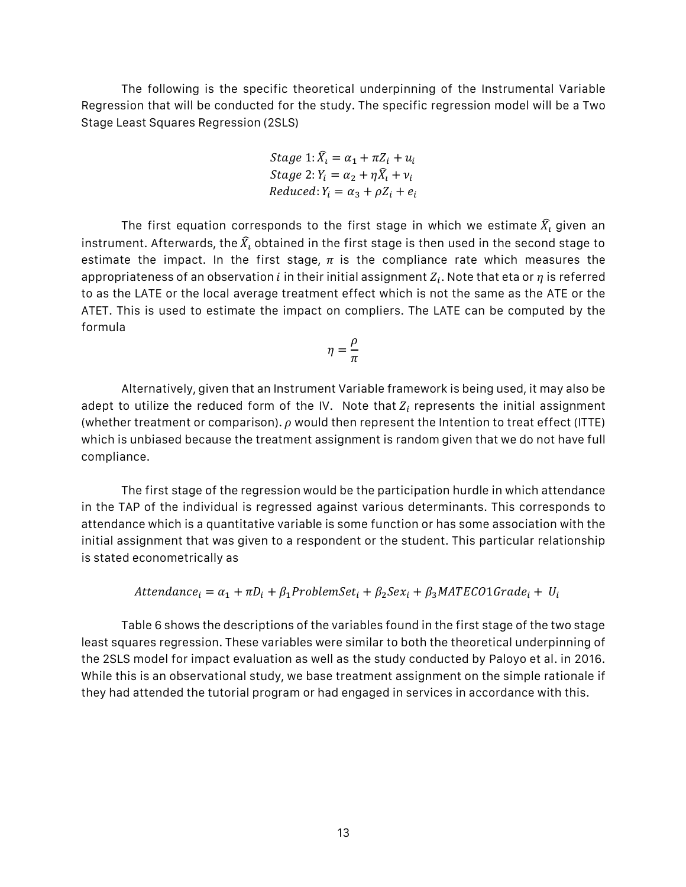The following is the specific theoretical underpinning of the Instrumental Variable Regression that will be conducted for the study. The specific regression model will be a Two Stage Least Squares Regression (2SLS)

Stage 1: 
$$
\hat{X}_i = \alpha_1 + \pi Z_i + u_i
$$
  
Stage 2:  $Y_i = \alpha_2 + \eta \hat{X}_i + v_i$   
Reduced:  $Y_i = \alpha_3 + \rho Z_i + e_i$ 

The first equation corresponds to the first stage in which we estimate  $\widehat{X}_t$  given an instrument. Afterwards, the  $\widehat{X}_i$  obtained in the first stage is then used in the second stage to estimate the impact. In the first stage,  $\pi$  is the compliance rate which measures the appropriateness of an observation *i* in their initial assignment  $Z_i$ . Note that eta or  $\eta$  is referred to as the LATE or the local average treatment effect which is not the same as the ATE or the ATET. This is used to estimate the impact on compliers. The LATE can be computed by the formula

$$
\eta = \frac{\rho}{\pi}
$$

Alternatively, given that an Instrument Variable framework is being used, it may also be adept to utilize the reduced form of the IV. Note that  $Z_i$  represents the initial assignment (whether treatment or comparison).  $\rho$  would then represent the Intention to treat effect (ITTE) which is unbiased because the treatment assignment is random given that we do not have full compliance.

The first stage of the regression would be the participation hurdle in which attendance in the TAP of the individual is regressed against various determinants. This corresponds to attendance which is a quantitative variable is some function or has some association with the initial assignment that was given to a respondent or the student. This particular relationship is stated econometrically as

$$
Attendance_i = \alpha_1 + \pi D_i + \beta_1 Problem Set_i + \beta_2 Sex_i + \beta_3 MATECO1 Grade_i + U_i
$$

Table 6 shows the descriptions of the variables found in the first stage of the two stage least squares regression. These variables were similar to both the theoretical underpinning of the 2SLS model for impact evaluation as well as the study conducted by Paloyo et al. in 2016. While this is an observational study, we base treatment assignment on the simple rationale if they had attended the tutorial program or had engaged in services in accordance with this.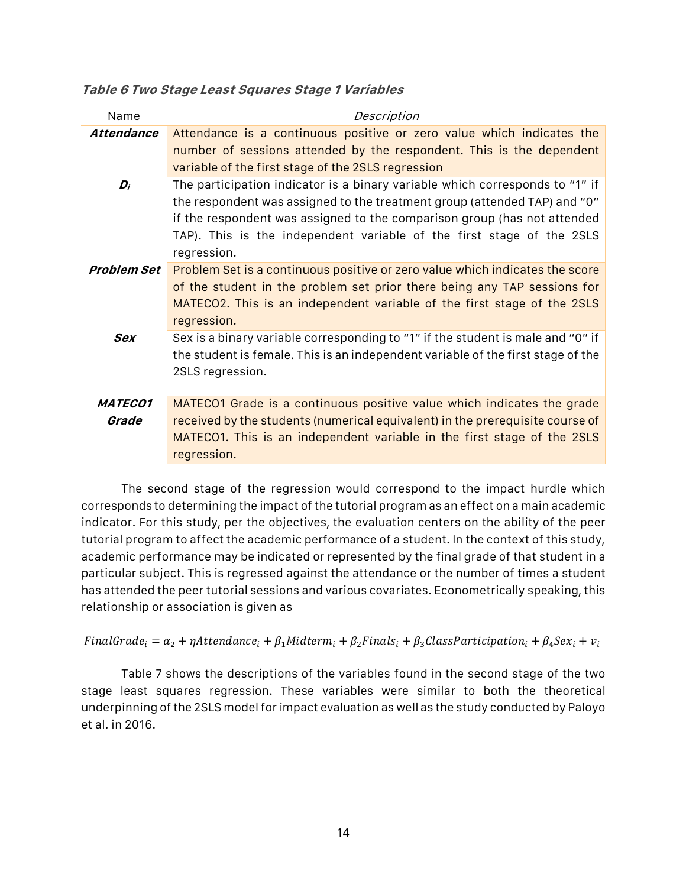**Table 6 Two Stage Least Squares Stage 1 Variables**

| Name                    | Description                                                                                                                                                                                                                                                                                                                   |
|-------------------------|-------------------------------------------------------------------------------------------------------------------------------------------------------------------------------------------------------------------------------------------------------------------------------------------------------------------------------|
| Attendance              | Attendance is a continuous positive or zero value which indicates the<br>number of sessions attended by the respondent. This is the dependent<br>variable of the first stage of the 2SLS regression                                                                                                                           |
| $D_i$                   | The participation indicator is a binary variable which corresponds to "1" if<br>the respondent was assigned to the treatment group (attended TAP) and "0"<br>if the respondent was assigned to the comparison group (has not attended<br>TAP). This is the independent variable of the first stage of the 2SLS<br>regression. |
| Problem Set             | Problem Set is a continuous positive or zero value which indicates the score<br>of the student in the problem set prior there being any TAP sessions for<br>MATECO2. This is an independent variable of the first stage of the 2SLS<br>regression.                                                                            |
| <b>Sex</b>              | Sex is a binary variable corresponding to "1" if the student is male and "0" if<br>the student is female. This is an independent variable of the first stage of the<br>2SLS regression.                                                                                                                                       |
| <b>MATECO1</b><br>Grade | MATECO1 Grade is a continuous positive value which indicates the grade<br>received by the students (numerical equivalent) in the prerequisite course of<br>MATECO1. This is an independent variable in the first stage of the 2SLS<br>regression.                                                                             |

The second stage of the regression would correspond to the impact hurdle which corresponds to determining the impact of the tutorial program as an effect on a main academic indicator. For this study, per the objectives, the evaluation centers on the ability of the peer tutorial program to affect the academic performance of a student. In the context of this study, academic performance may be indicated or represented by the final grade of that student in a particular subject. This is regressed against the attendance or the number of times a student has attended the peer tutorial sessions and various covariates. Econometrically speaking, this relationship or association is given as

FinalGrade<sub>i</sub> =  $\alpha_2$  +  $\eta$ Attendance<sub>i</sub> +  $\beta_1$ Midterm<sub>i</sub> +  $\beta_2$ Finals<sub>i</sub> +  $\beta_3$ ClassParticipation<sub>i</sub> +  $\beta_4$ Sex<sub>i</sub> +  $v_i$ 

Table 7 shows the descriptions of the variables found in the second stage of the two stage least squares regression. These variables were similar to both the theoretical underpinning ofthe 2SLS modelforimpact evaluation as well as the study conducted by Paloyo et al. in 2016.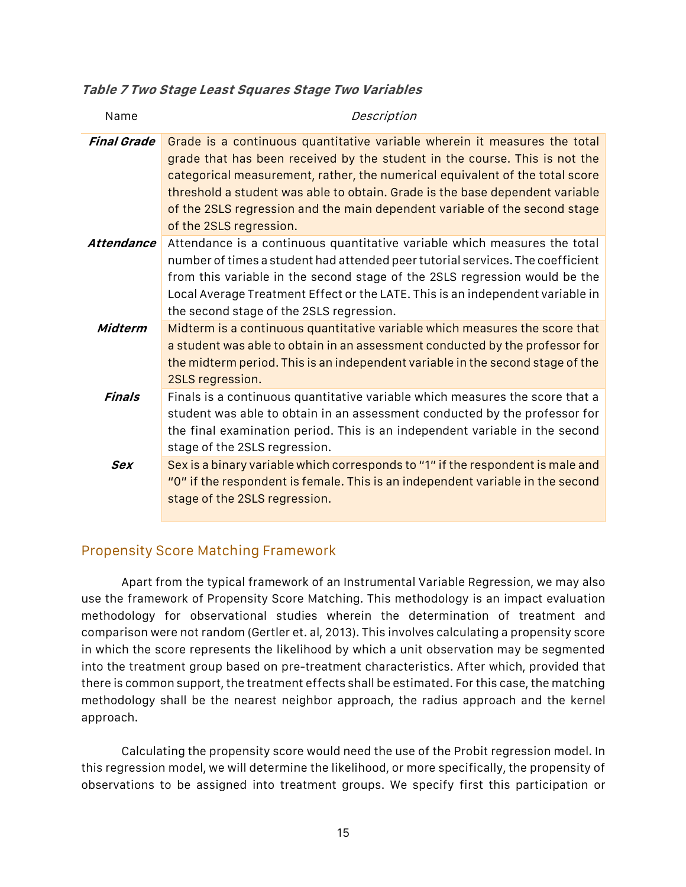**Table 7 Two Stage Least Squares Stage Two Variables**

| Name               | Description                                                                                                                                                                                                                                                                                                                                                                                                                      |
|--------------------|----------------------------------------------------------------------------------------------------------------------------------------------------------------------------------------------------------------------------------------------------------------------------------------------------------------------------------------------------------------------------------------------------------------------------------|
| <b>Final Grade</b> | Grade is a continuous quantitative variable wherein it measures the total<br>grade that has been received by the student in the course. This is not the<br>categorical measurement, rather, the numerical equivalent of the total score<br>threshold a student was able to obtain. Grade is the base dependent variable<br>of the 2SLS regression and the main dependent variable of the second stage<br>of the 2SLS regression. |
| Attendance         | Attendance is a continuous quantitative variable which measures the total<br>number of times a student had attended peer tutorial services. The coefficient<br>from this variable in the second stage of the 2SLS regression would be the<br>Local Average Treatment Effect or the LATE. This is an independent variable in<br>the second stage of the 2SLS regression.                                                          |
| Midterm            | Midterm is a continuous quantitative variable which measures the score that<br>a student was able to obtain in an assessment conducted by the professor for<br>the midterm period. This is an independent variable in the second stage of the<br>2SLS regression.                                                                                                                                                                |
| Finals             | Finals is a continuous quantitative variable which measures the score that a<br>student was able to obtain in an assessment conducted by the professor for<br>the final examination period. This is an independent variable in the second<br>stage of the 2SLS regression.                                                                                                                                                       |
| <b>Sex</b>         | Sex is a binary variable which corresponds to "1" if the respondent is male and<br>"O" if the respondent is female. This is an independent variable in the second<br>stage of the 2SLS regression.                                                                                                                                                                                                                               |

### Propensity Score Matching Framework

Apart from the typical framework of an Instrumental Variable Regression, we may also use the framework of Propensity Score Matching. This methodology is an impact evaluation methodology for observational studies wherein the determination of treatment and comparison were not random (Gertler et. al, 2013). This involves calculating a propensity score in which the score represents the likelihood by which a unit observation may be segmented into the treatment group based on pre-treatment characteristics. After which, provided that there is common support, the treatment effects shall be estimated. For this case, the matching methodology shall be the nearest neighbor approach, the radius approach and the kernel approach.

Calculating the propensity score would need the use of the Probit regression model. In this regression model, we will determine the likelihood, or more specifically, the propensity of observations to be assigned into treatment groups. We specify first this participation or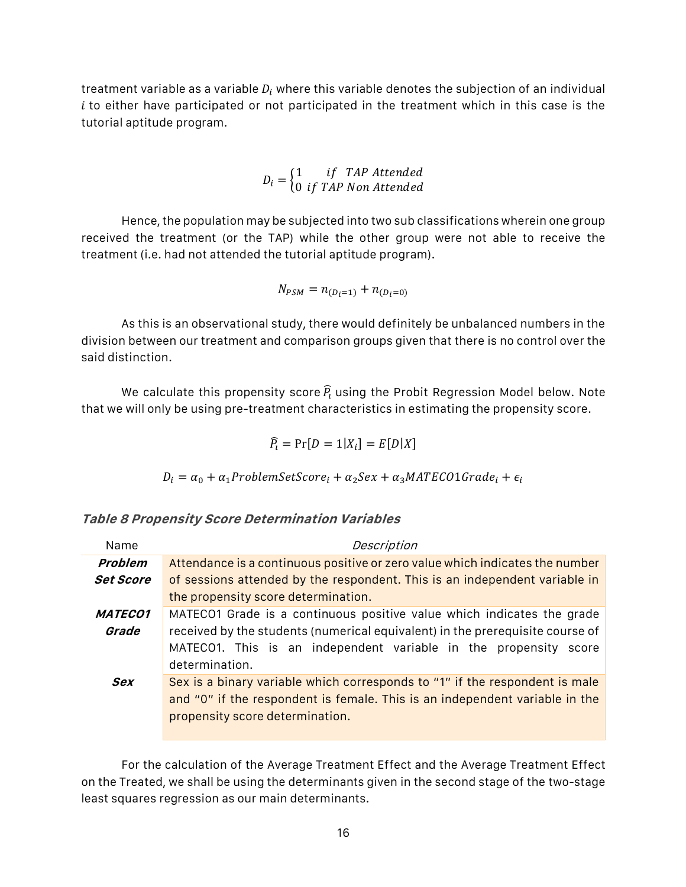treatment variable as a variable  $D_i$  where this variable denotes the subjection of an individual  $i$  to either have participated or not participated in the treatment which in this case is the tutorial aptitude program.

$$
D_i = \begin{cases} 1 & if \quad TAP \text{ Attended} \\ 0 & if \quad TAP \text{ Non Attended} \end{cases}
$$

Hence, the population may be subjected into two sub classifications wherein one group received the treatment (or the TAP) while the other group were not able to receive the treatment (i.e. had not attended the tutorial aptitude program).

$$
N_{PSM} = n_{(D_i=1)} + n_{(D_i=0)}
$$

As this is an observational study, there would definitely be unbalanced numbers in the division between our treatment and comparison groups given that there is no control over the said distinction.

We calculate this propensity score  $\widehat{P}_{t}$  using the Probit Regression Model below. Note that we will only be using pre-treatment characteristics in estimating the propensity score.

$$
\widehat{P}_i = \Pr[D = 1 | X_i] = E[D|X]
$$

 $D_i = \alpha_0 + \alpha_1$ ProblemSetScore<sub>i</sub> +  $\alpha_2$ Sex +  $\alpha_3$ MATECO1Grade<sub>i</sub> +  $\epsilon_i$ 

**Table 8 Propensity Score Determination Variables**

| Name                    | Description                                                                                                                                                                                                                                   |
|-------------------------|-----------------------------------------------------------------------------------------------------------------------------------------------------------------------------------------------------------------------------------------------|
| Problem                 | Attendance is a continuous positive or zero value which indicates the number                                                                                                                                                                  |
| <b>Set Score</b>        | of sessions attended by the respondent. This is an independent variable in                                                                                                                                                                    |
|                         | the propensity score determination.                                                                                                                                                                                                           |
| <b>MATECO1</b><br>Grade | MATECO1 Grade is a continuous positive value which indicates the grade<br>received by the students (numerical equivalent) in the prerequisite course of<br>MATECO1. This is an independent variable in the propensity score<br>determination. |
| <b>Sex</b>              | Sex is a binary variable which corresponds to "1" if the respondent is male<br>and "0" if the respondent is female. This is an independent variable in the<br>propensity score determination.                                                 |

For the calculation of the Average Treatment Effect and the Average Treatment Effect on the Treated, we shall be using the determinants given in the second stage of the two-stage least squares regression as our main determinants.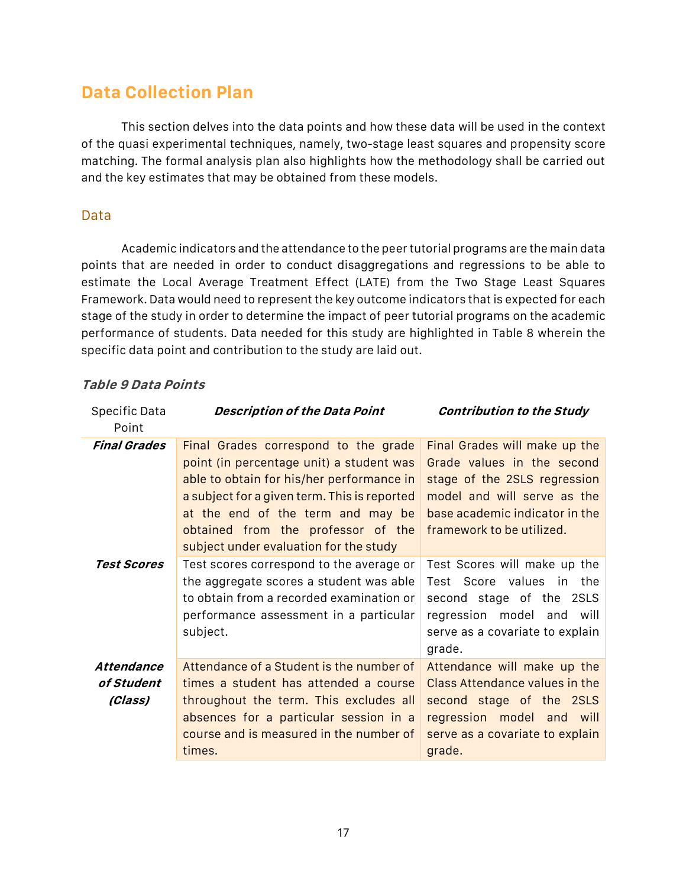# **Data Collection Plan**

This section delves into the data points and how these data will be used in the context of the quasi experimental techniques, namely, two-stage least squares and propensity score matching. The formal analysis plan also highlights how the methodology shall be carried out and the key estimates that may be obtained from these models.

#### Data

Academic indicators and the attendance to the peertutorial programs are the main data points that are needed in order to conduct disaggregations and regressions to be able to estimate the Local Average Treatment Effect (LATE) from the Two Stage Least Squares Framework. Data would need to represent the key outcome indicators that is expected for each stage of the study in order to determine the impact of peer tutorial programs on the academic performance of students. Data needed for this study are highlighted in Table 8 wherein the specific data point and contribution to the study are laid out.

| Specific Data<br>Point                     | <b>Description of the Data Point</b>                                                                                                                                                                                                                                                               | <b>Contribution to the Study</b>                                                                                                                                                          |
|--------------------------------------------|----------------------------------------------------------------------------------------------------------------------------------------------------------------------------------------------------------------------------------------------------------------------------------------------------|-------------------------------------------------------------------------------------------------------------------------------------------------------------------------------------------|
| <b>Final Grades</b>                        | Final Grades correspond to the grade<br>point (in percentage unit) a student was<br>able to obtain for his/her performance in<br>a subject for a given term. This is reported<br>at the end of the term and may be<br>obtained from the professor of the<br>subject under evaluation for the study | Final Grades will make up the<br>Grade values in the second<br>stage of the 2SLS regression<br>model and will serve as the<br>base academic indicator in the<br>framework to be utilized. |
| <b>Test Scores</b>                         | Test scores correspond to the average or<br>the aggregate scores a student was able<br>to obtain from a recorded examination or<br>performance assessment in a particular<br>subject.                                                                                                              | Test Scores will make up the<br>Test Score values in the<br>second stage of the 2SLS<br>regression model and<br>will<br>serve as a covariate to explain<br>grade.                         |
| <b>Attendance</b><br>of Student<br>(Class) | Attendance of a Student is the number of<br>times a student has attended a course<br>throughout the term. This excludes all<br>absences for a particular session in a<br>course and is measured in the number of<br>times.                                                                         | Attendance will make up the<br>Class Attendance values in the<br>second stage of the 2SLS<br>regression model and will<br>serve as a covariate to explain<br>grade.                       |

### **Table 9 Data Points**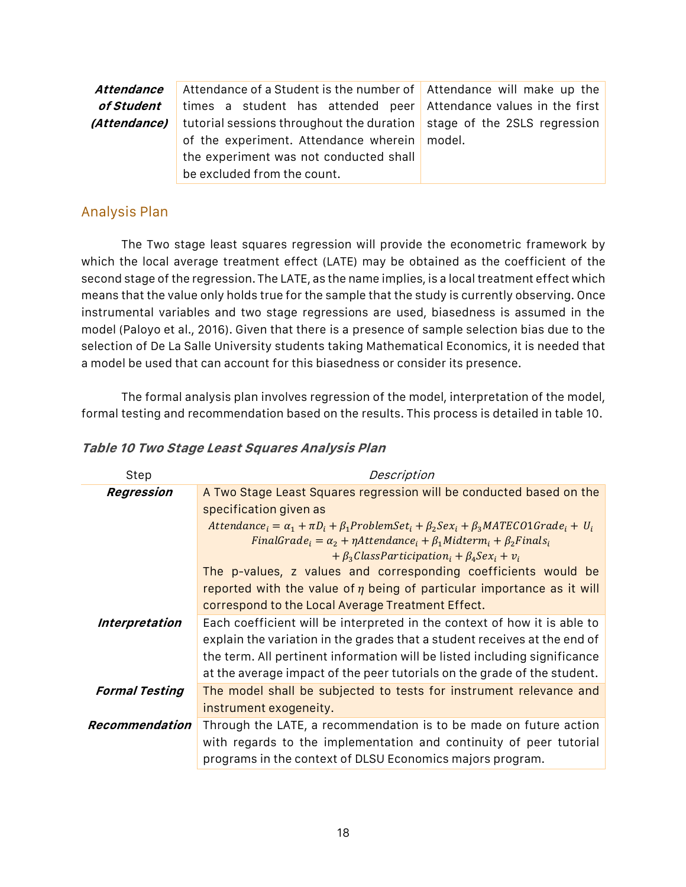| Attendance | Attendance of a Student is the number of $\vert$ Attendance will make up the               |  |
|------------|--------------------------------------------------------------------------------------------|--|
| of Student | times a student has attended peer Attendance values in the first                           |  |
|            | <i>(Attendance)</i> tutorial sessions throughout the duration stage of the 2SLS regression |  |
|            | of the experiment. Attendance wherein   model.                                             |  |
|            | the experiment was not conducted shall                                                     |  |
|            | be excluded from the count.                                                                |  |

# Analysis Plan

The Two stage least squares regression will provide the econometric framework by which the local average treatment effect (LATE) may be obtained as the coefficient of the second stage of the regression. The LATE, as the name implies, is a local treatment effect which means that the value only holds true for the sample that the study is currently observing. Once instrumental variables and two stage regressions are used, biasedness is assumed in the model (Paloyo et al., 2016). Given that there is a presence of sample selection bias due to the selection of De La Salle University students taking Mathematical Economics, it is needed that a model be used that can account for this biasedness or consider its presence.

The formal analysis plan involves regression of the model, interpretation of the model, formal testing and recommendation based on the results. This process is detailed in table 10.

|  |  | Table 10 Two Stage Least Squares Analysis Plan |  |
|--|--|------------------------------------------------|--|
|--|--|------------------------------------------------|--|

| Step                  | Description                                                                                                                                                                                                                                                                                                    |
|-----------------------|----------------------------------------------------------------------------------------------------------------------------------------------------------------------------------------------------------------------------------------------------------------------------------------------------------------|
| Regression            | A Two Stage Least Squares regression will be conducted based on the                                                                                                                                                                                                                                            |
|                       | specification given as                                                                                                                                                                                                                                                                                         |
|                       | Attendance <sub>i</sub> = $\alpha_1 + \pi D_i + \beta_1$ ProblemSet <sub>i</sub> + $\beta_2$ Sex <sub>i</sub> + $\beta_3$ MATECO1Grade <sub>i</sub> + U <sub>i</sub>                                                                                                                                           |
|                       | $FinalGrade_i = \alpha_2 + \eta$ Attendance <sub>i</sub> + $\beta_1$ Midterm <sub>i</sub> + $\beta_2$ Finals <sub>i</sub>                                                                                                                                                                                      |
|                       | $+\beta_3 ClassPartition_i + \beta_4 Sex_i + v_i$                                                                                                                                                                                                                                                              |
|                       | The p-values, z values and corresponding coefficients would be                                                                                                                                                                                                                                                 |
|                       | reported with the value of $\eta$ being of particular importance as it will                                                                                                                                                                                                                                    |
|                       | correspond to the Local Average Treatment Effect.                                                                                                                                                                                                                                                              |
| Interpretation        | Each coefficient will be interpreted in the context of how it is able to<br>explain the variation in the grades that a student receives at the end of<br>the term. All pertinent information will be listed including significance<br>at the average impact of the peer tutorials on the grade of the student. |
| <b>Formal Testing</b> | The model shall be subjected to tests for instrument relevance and<br>instrument exogeneity.                                                                                                                                                                                                                   |
| Recommendation        | Through the LATE, a recommendation is to be made on future action<br>with regards to the implementation and continuity of peer tutorial<br>programs in the context of DLSU Economics majors program.                                                                                                           |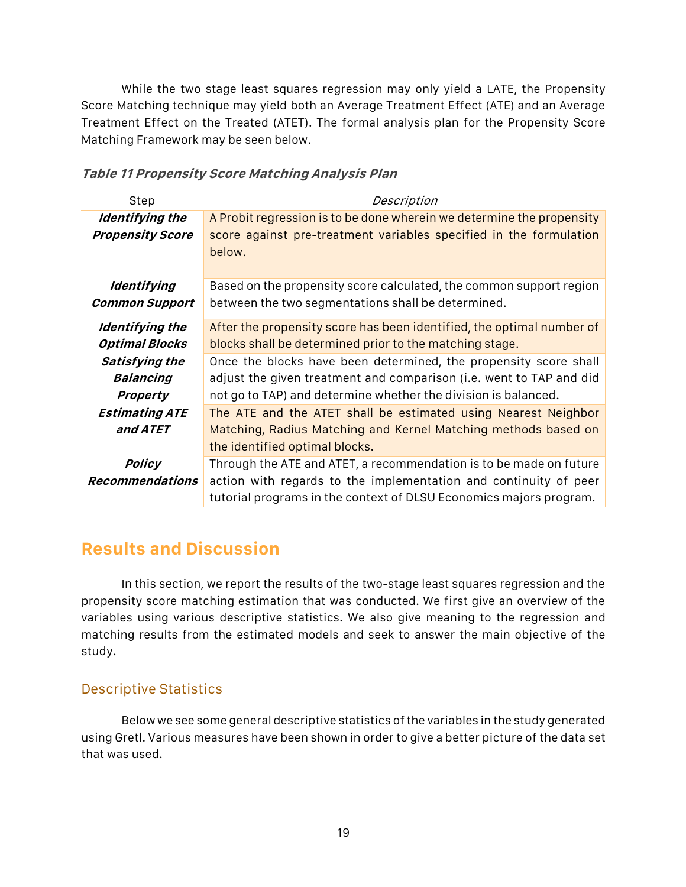While the two stage least squares regression may only yield a LATE, the Propensity Score Matching technique may yield both an Average Treatment Effect (ATE) and an Average Treatment Effect on the Treated (ATET). The formal analysis plan for the Propensity Score Matching Framework may be seen below.

#### **Table 11 Propensity Score Matching Analysis Plan**

| Step                    | Description                                                           |
|-------------------------|-----------------------------------------------------------------------|
| Identifying the         | A Probit regression is to be done wherein we determine the propensity |
| <b>Propensity Score</b> | score against pre-treatment variables specified in the formulation    |
|                         | below.                                                                |
|                         |                                                                       |
| <b>Identifying</b>      | Based on the propensity score calculated, the common support region   |
| <b>Common Support</b>   | between the two segmentations shall be determined.                    |
| Identifying the         | After the propensity score has been identified, the optimal number of |
| <b>Optimal Blocks</b>   | blocks shall be determined prior to the matching stage.               |
| Satisfying the          | Once the blocks have been determined, the propensity score shall      |
| <b>Balancing</b>        | adjust the given treatment and comparison (i.e. went to TAP and did   |
| <b>Property</b>         | not go to TAP) and determine whether the division is balanced.        |
| <b>Estimating ATE</b>   | The ATE and the ATET shall be estimated using Nearest Neighbor        |
| and ATET                | Matching, Radius Matching and Kernel Matching methods based on        |
|                         | the identified optimal blocks.                                        |
| Policy                  | Through the ATE and ATET, a recommendation is to be made on future    |
| Recommendations         | action with regards to the implementation and continuity of peer      |
|                         | tutorial programs in the context of DLSU Economics majors program.    |

# **Results and Discussion**

In this section, we report the results of the two-stage least squares regression and the propensity score matching estimation that was conducted. We first give an overview of the variables using various descriptive statistics. We also give meaning to the regression and matching results from the estimated models and seek to answer the main objective of the study.

# Descriptive Statistics

Below we see some general descriptive statistics of the variables in the study generated using Gretl. Various measures have been shown in order to give a better picture of the data set that was used.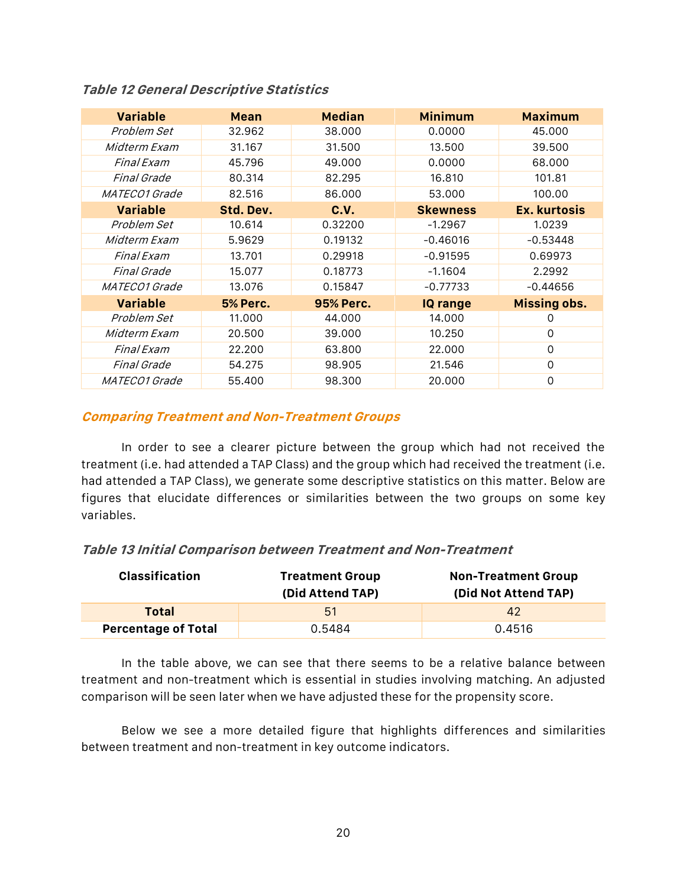| <b>Variable</b>      | <b>Mean</b>     | <b>Median</b>    | <b>Minimum</b>  | <b>Maximum</b>      |
|----------------------|-----------------|------------------|-----------------|---------------------|
| Problem Set          | 32.962          | 38.000           | 0.0000          | 45.000              |
| Midterm Exam         | 31.167          | 31.500           | 13.500          | 39.500              |
| Final Exam           | 45.796          | 49.000           | 0.0000          | 68,000              |
| Final Grade          | 80.314          | 82.295           | 16.810          | 101.81              |
| <i>MATECO1 Grade</i> | 82.516          | 86,000           | 53.000          | 100.00              |
| <b>Variable</b>      | Std. Dev.       | C.V.             | <b>Skewness</b> | Ex. kurtosis        |
| Problem Set          | 10.614          | 0.32200          | $-1.2967$       | 1.0239              |
| Midterm Exam         | 5.9629          | 0.19132          | $-0.46016$      | $-0.53448$          |
| Final Exam           | 13.701          | 0.29918          | $-0.91595$      | 0.69973             |
| Final Grade          | 15.077          | 0.18773          | $-1.1604$       | 2.2992              |
| <i>MATECO1 Grade</i> | 13.076          | 0.15847          | $-0.77733$      | $-0.44656$          |
| <b>Variable</b>      | <b>5% Perc.</b> | <b>95% Perc.</b> | <b>IQ range</b> | <b>Missing obs.</b> |
| Problem Set          | 11.000          | 44.000           | 14.000          | $\Omega$            |
| Midterm Exam         | 20.500          | 39.000           | 10.250          | $\Omega$            |
| Final Exam           | 22.200          | 63.800           | 22,000          | $\Omega$            |
| Final Grade          | 54.275          | 98.905           | 21.546          | $\Omega$            |
| <i>MATECO1 Grade</i> | 55.400          | 98.300           | 20,000          | $\Omega$            |

#### **Table 12 General Descriptive Statistics**

#### **Comparing Treatment and Non-Treatment Groups**

In order to see a clearer picture between the group which had not received the treatment (i.e. had attended a TAP Class) and the group which had received the treatment (i.e. had attended a TAP Class), we generate some descriptive statistics on this matter. Below are figures that elucidate differences or similarities between the two groups on some key variables.

#### **Table 13 Initial Comparison between Treatment and Non-Treatment**

| <b>Classification</b>      | <b>Treatment Group</b><br>(Did Attend TAP) | <b>Non-Treatment Group</b><br>(Did Not Attend TAP) |  |  |
|----------------------------|--------------------------------------------|----------------------------------------------------|--|--|
| <b>Total</b>               | 51                                         | 42                                                 |  |  |
| <b>Percentage of Total</b> | 0.5484                                     | 0.4516                                             |  |  |

In the table above, we can see that there seems to be a relative balance between treatment and non-treatment which is essential in studies involving matching. An adjusted comparison will be seen later when we have adjusted these for the propensity score.

Below we see a more detailed figure that highlights differences and similarities between treatment and non-treatment in key outcome indicators.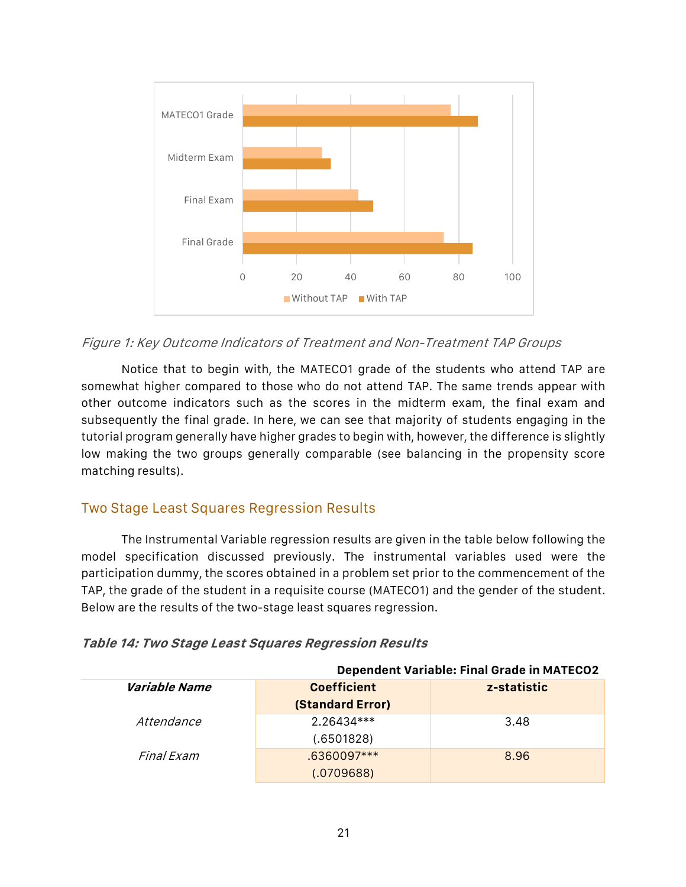

#### Figure 1: Key Outcome Indicators of Treatment and Non-Treatment TAP Groups

Notice that to begin with, the MATECO1 grade of the students who attend TAP are somewhat higher compared to those who do not attend TAP. The same trends appear with other outcome indicators such as the scores in the midterm exam, the final exam and subsequently the final grade. In here, we can see that majority of students engaging in the tutorial program generally have higher grades to begin with, however, the difference is slightly low making the two groups generally comparable (see balancing in the propensity score matching results).

### Two Stage Least Squares Regression Results

The Instrumental Variable regression results are given in the table below following the model specification discussed previously. The instrumental variables used were the participation dummy, the scores obtained in a problem set prior to the commencement of the TAP, the grade of the student in a requisite course (MATECO1) and the gender of the student. Below are the results of the two-stage least squares regression.

| <b>Dependent Variable: Final Grade in MATECO2</b> |                         |             |  |  |  |
|---------------------------------------------------|-------------------------|-------------|--|--|--|
| <i><b>Variable Name</b></i>                       | <b>Coefficient</b>      | z-statistic |  |  |  |
|                                                   | <b>(Standard Error)</b> |             |  |  |  |
| Attendance                                        | 2.26434***              | 3.48        |  |  |  |
|                                                   | (.6501828)              |             |  |  |  |
| Final Exam                                        | .6360097***             | 8.96        |  |  |  |
|                                                   | (.0709688)              |             |  |  |  |

#### **Table 14: Two Stage Least Squares Regression Results**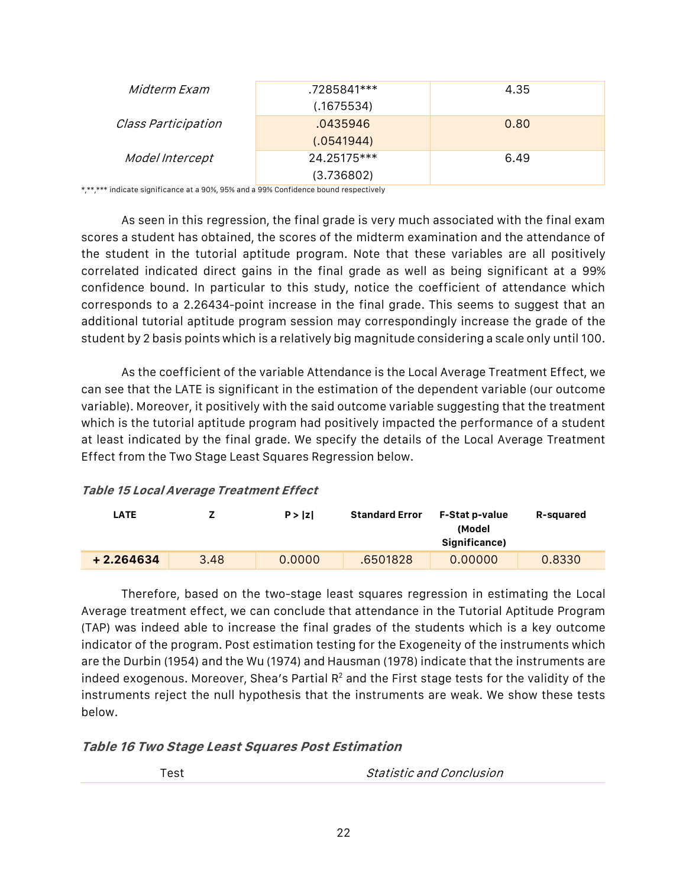| <i>Midterm Exam</i> | .7285841***<br>(.1675534) | 4.35 |
|---------------------|---------------------------|------|
| Class Participation | .0435946<br>(.0541944)    | 0.80 |
| Model Intercept     | 24.25175***<br>(3.736802) | 6.49 |

\*,\*\*,\*\*\* indicate significance at a 90%, 95% and a 99% Confidence bound respectively

As seen in this regression, the final grade is very much associated with the final exam scores a student has obtained, the scores of the midterm examination and the attendance of the student in the tutorial aptitude program. Note that these variables are all positively correlated indicated direct gains in the final grade as well as being significant at a 99% confidence bound. In particular to this study, notice the coefficient of attendance which corresponds to a 2.26434-point increase in the final grade. This seems to suggest that an additional tutorial aptitude program session may correspondingly increase the grade of the student by 2 basis points which is a relatively big magnitude considering a scale only until 100.

As the coefficient of the variable Attendance is the Local Average Treatment Effect, we can see that the LATE is significant in the estimation of the dependent variable (our outcome variable). Moreover, it positively with the said outcome variable suggesting that the treatment which is the tutorial aptitude program had positively impacted the performance of a student at least indicated by the final grade. We specify the details of the Local Average Treatment Effect from the Two Stage Least Squares Regression below.

#### **Table 15 Local Average Treatment Effect**

| <b>LATE</b> |      | P >  z | <b>Standard Error</b> | <b>F-Stat p-value</b><br>(Model<br>Significance) | <b>R-squared</b> |
|-------------|------|--------|-----------------------|--------------------------------------------------|------------------|
| $+2.264634$ | 3.48 | 0.0000 | .6501828              | 0.00000                                          | 0.8330           |

Therefore, based on the two-stage least squares regression in estimating the Local Average treatment effect, we can conclude that attendance in the Tutorial Aptitude Program (TAP) was indeed able to increase the final grades of the students which is a key outcome indicator of the program. Post estimation testing for the Exogeneity of the instruments which are the Durbin (1954) and the Wu (1974) and Hausman (1978) indicate that the instruments are indeed exogenous. Moreover, Shea's Partial  $R<sup>2</sup>$  and the First stage tests for the validity of the instruments reject the null hypothesis that the instruments are weak. We show these tests below.

|  |  |  | Table 16 Two Stage Least Squares Post Estimation |
|--|--|--|--------------------------------------------------|
|  |  |  |                                                  |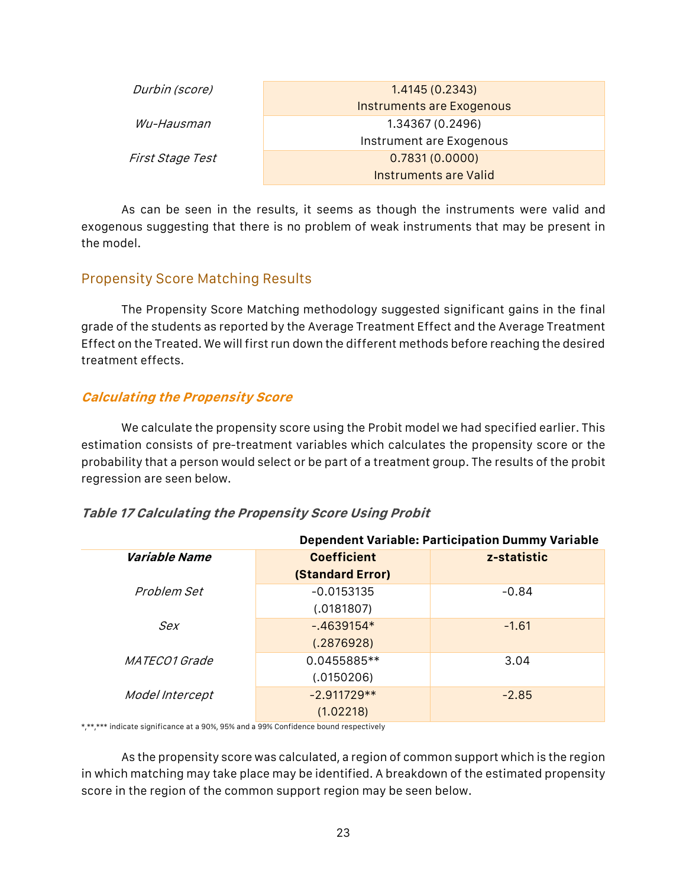| Durbin (score)    | 1.4145(0.2343)            |  |
|-------------------|---------------------------|--|
|                   | Instruments are Exogenous |  |
| <i>Wu-Hausman</i> | 1.34367 (0.2496)          |  |
|                   | Instrument are Exogenous  |  |
| First Stage Test  | 0.7831(0.0000)            |  |
|                   | Instruments are Valid     |  |

As can be seen in the results, it seems as though the instruments were valid and exogenous suggesting that there is no problem of weak instruments that may be present in the model.

# Propensity Score Matching Results

The Propensity Score Matching methodology suggested significant gains in the final grade of the students as reported by the Average Treatment Effect and the Average Treatment Effect on the Treated. We willfirstrun down the different methods before reaching the desired treatment effects.

### **Calculating the Propensity Score**

We calculate the propensity score using the Probit model we had specified earlier. This estimation consists of pre-treatment variables which calculates the propensity score or the probability that a person would select or be part of a treatment group. The results of the probit regression are seen below.

#### **Table 17 Calculating the Propensity Score Using Probit**

|                             | <b>Dependent Variable: Participation Dummy Variable</b> |             |  |
|-----------------------------|---------------------------------------------------------|-------------|--|
| <i><b>Variable Name</b></i> | <b>Coefficient</b>                                      | z-statistic |  |
|                             | <b>(Standard Error)</b>                                 |             |  |
| Problem Set                 | $-0.0153135$                                            | $-0.84$     |  |
|                             | (.0181807)                                              |             |  |
| Sex                         | $-.4639154*$                                            | $-1.61$     |  |
|                             | (.2876928)                                              |             |  |
| <i>MATECO1 Grade</i>        | 0.0455885**                                             | 3.04        |  |
|                             | (.0150206)                                              |             |  |
| Model Intercept             | $-2.911729**$                                           | $-2.85$     |  |
|                             | (1.02218)                                               |             |  |

\*,\*\*\*\*\* indicate significance at a 90%, 95% and a 99% Confidence bound respectively

As the propensity score was calculated, a region of common support which is the region in which matching may take place may be identified. A breakdown of the estimated propensity score in the region of the common support region may be seen below.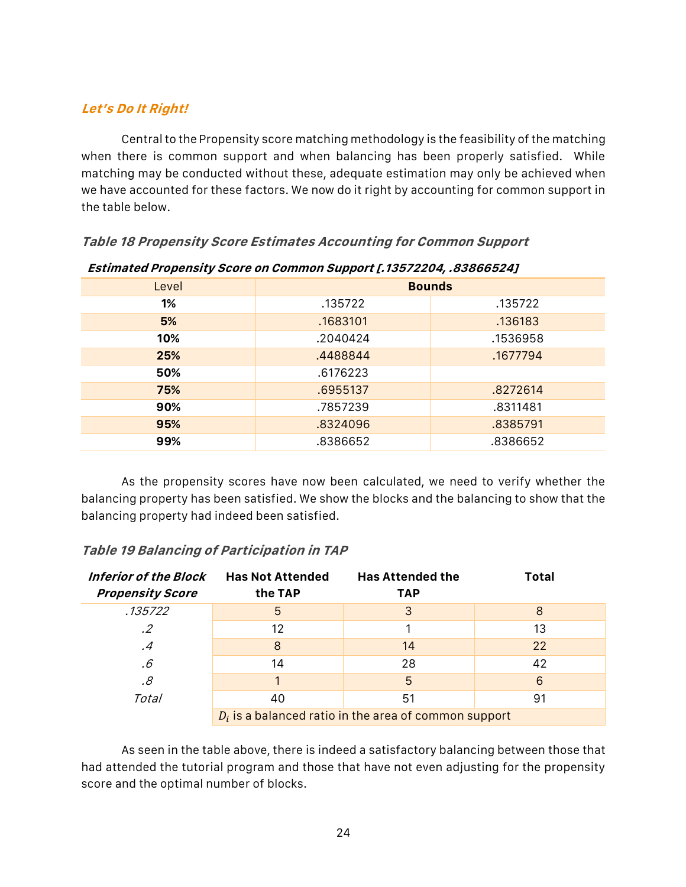# **Let's Do It Right!**

Central to the Propensity score matching methodology is the feasibility of the matching when there is common support and when balancing has been properly satisfied. While matching may be conducted without these, adequate estimation may only be achieved when we have accounted for these factors. We now do it right by accounting for common support in the table below.

# **Table 18 Propensity Score Estimates Accounting for Common Support**

| Level | <b>Bounds</b> |          |
|-------|---------------|----------|
| 1%    | .135722       | .135722  |
| 5%    | .1683101      | .136183  |
| 10%   | .2040424      | .1536958 |
| 25%   | .4488844      | .1677794 |
| 50%   | .6176223      |          |
| 75%   | .6955137      | .8272614 |
| 90%   | .7857239      | .8311481 |
| 95%   | .8324096      | .8385791 |
| 99%   | .8386652      | .8386652 |

#### **Estimated Propensity Score on Common Support [.13572204, .83866524]**

As the propensity scores have now been calculated, we need to verify whether the balancing property has been satisfied. We show the blocks and the balancing to show that the balancing property had indeed been satisfied.

| <b>Inferior of the Block</b><br><b>Propensity Score</b> | <b>Has Not Attended</b><br>the TAP                      | <b>Has Attended the</b><br><b>TAP</b> | Total |
|---------------------------------------------------------|---------------------------------------------------------|---------------------------------------|-------|
| .135722                                                 | 5                                                       | 3                                     | 8     |
| $\cdot$ .2                                              | 12                                                      |                                       | 13    |
| .4                                                      | 8                                                       | 14                                    | 22    |
| .6                                                      | 14                                                      | 28                                    | 42    |
| $.\mathcal S$                                           |                                                         | 5                                     | 6     |
| Total                                                   | 40                                                      | 51                                    | 91    |
|                                                         | $D_i$ is a balanced ratio in the area of common support |                                       |       |

#### **Table 19 Balancing of Participation in TAP**

As seen in the table above, there is indeed a satisfactory balancing between those that had attended the tutorial program and those that have not even adjusting for the propensity score and the optimal number of blocks.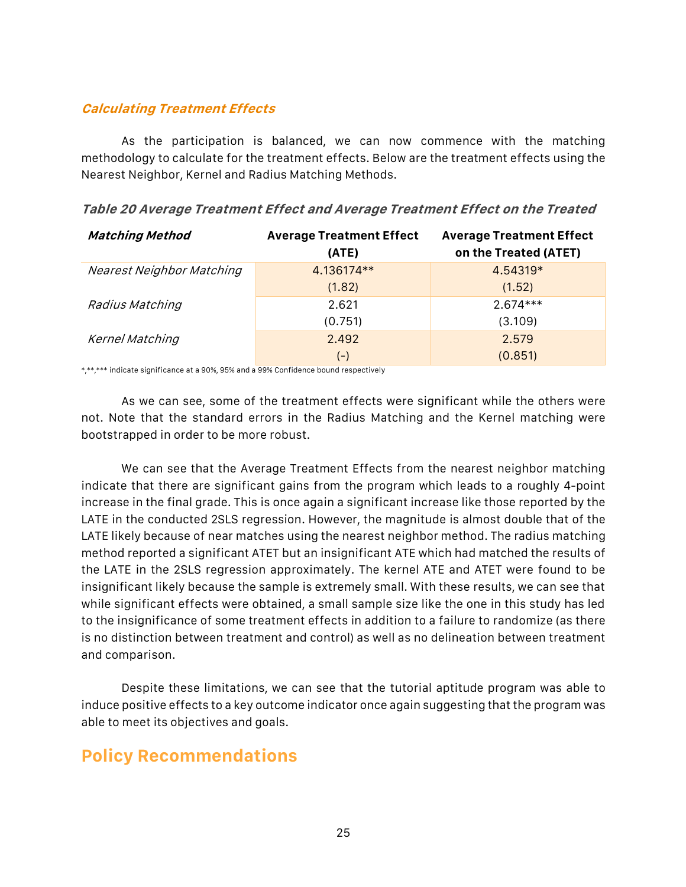### **Calculating Treatment Effects**

As the participation is balanced, we can now commence with the matching methodology to calculate for the treatment effects. Below are the treatment effects using the Nearest Neighbor, Kernel and Radius Matching Methods.

| <b>Matching Method</b>    | <b>Average Treatment Effect</b><br>(ATE) | <b>Average Treatment Effect</b><br>on the Treated (ATET) |
|---------------------------|------------------------------------------|----------------------------------------------------------|
| Nearest Neighbor Matching | 4.136174**                               | 4.54319*                                                 |
|                           | (1.82)                                   | (1.52)                                                   |
| Radius Matching           | 2.621                                    | $2.674***$                                               |
|                           | (0.751)                                  | (3.109)                                                  |
| Kernel Matching           | 2.492                                    | 2.579                                                    |
|                           | $(-)$                                    | (0.851)                                                  |

**Table 20 Average Treatment Effect and Average Treatment Effect on the Treated**

\*,\*\*,\*\*\* indicate significance at a 90%, 95% and a 99% Confidence bound respectively

As we can see, some of the treatment effects were significant while the others were not. Note that the standard errors in the Radius Matching and the Kernel matching were bootstrapped in order to be more robust.

We can see that the Average Treatment Effects from the nearest neighbor matching indicate that there are significant gains from the program which leads to a roughly 4-point increase in the final grade. This is once again a significant increase like those reported by the LATE in the conducted 2SLS regression. However, the magnitude is almost double that of the LATE likely because of near matches using the nearest neighbor method. The radius matching method reported a significant ATET but an insignificant ATE which had matched the results of the LATE in the 2SLS regression approximately. The kernel ATE and ATET were found to be insignificant likely because the sample is extremely small. With these results, we can see that while significant effects were obtained, a small sample size like the one in this study has led to the insignificance of some treatment effects in addition to a failure to randomize (as there is no distinction between treatment and control) as well as no delineation between treatment and comparison.

Despite these limitations, we can see that the tutorial aptitude program was able to induce positive effects to a key outcome indicator once again suggesting that the program was able to meet its objectives and goals.

# **Policy Recommendations**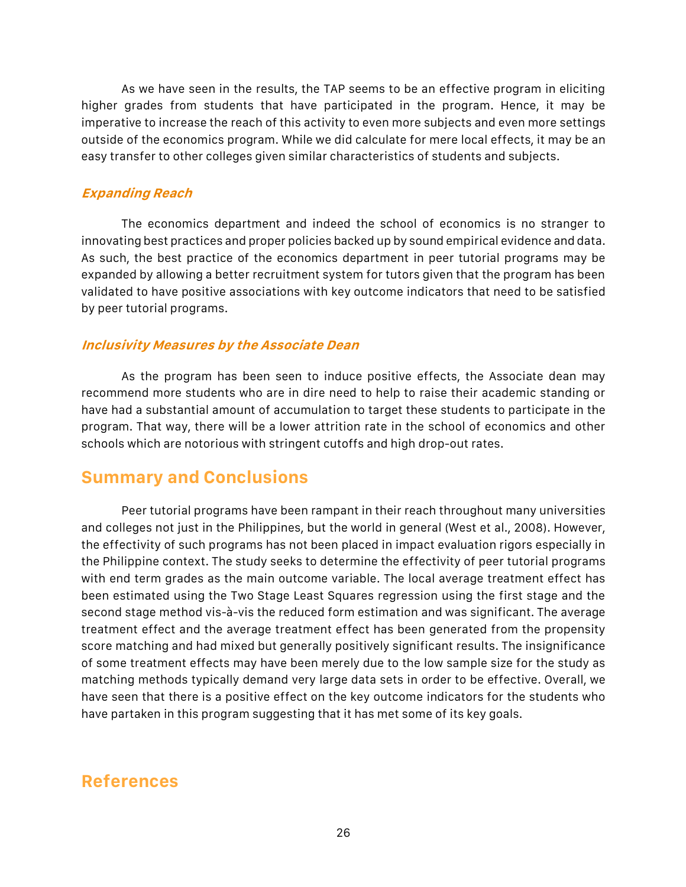As we have seen in the results, the TAP seems to be an effective program in eliciting higher grades from students that have participated in the program. Hence, it may be imperative to increase the reach of this activity to even more subjects and even more settings outside of the economics program. While we did calculate for mere local effects, it may be an easy transfer to other colleges given similar characteristics of students and subjects.

#### **Expanding Reach**

The economics department and indeed the school of economics is no stranger to innovating best practices and proper policies backed up by sound empirical evidence and data. As such, the best practice of the economics department in peer tutorial programs may be expanded by allowing a better recruitment system for tutors given that the program has been validated to have positive associations with key outcome indicators that need to be satisfied by peer tutorial programs.

### **Inclusivity Measures by the Associate Dean**

As the program has been seen to induce positive effects, the Associate dean may recommend more students who are in dire need to help to raise their academic standing or have had a substantial amount of accumulation to target these students to participate in the program. That way, there will be a lower attrition rate in the school of economics and other schools which are notorious with stringent cutoffs and high drop-out rates.

# **Summary and Conclusions**

Peer tutorial programs have been rampant in their reach throughout many universities and colleges not just in the Philippines, but the world in general (West et al., 2008). However, the effectivity of such programs has not been placed in impact evaluation rigors especially in the Philippine context. The study seeks to determine the effectivity of peer tutorial programs with end term grades as the main outcome variable. The local average treatment effect has been estimated using the Two Stage Least Squares regression using the first stage and the second stage method vis-à-vis the reduced form estimation and was significant. The average treatment effect and the average treatment effect has been generated from the propensity score matching and had mixed but generally positively significant results. The insignificance of some treatment effects may have been merely due to the low sample size for the study as matching methods typically demand very large data sets in order to be effective. Overall, we have seen that there is a positive effect on the key outcome indicators for the students who have partaken in this program suggesting that it has met some of its key goals.

# **References**